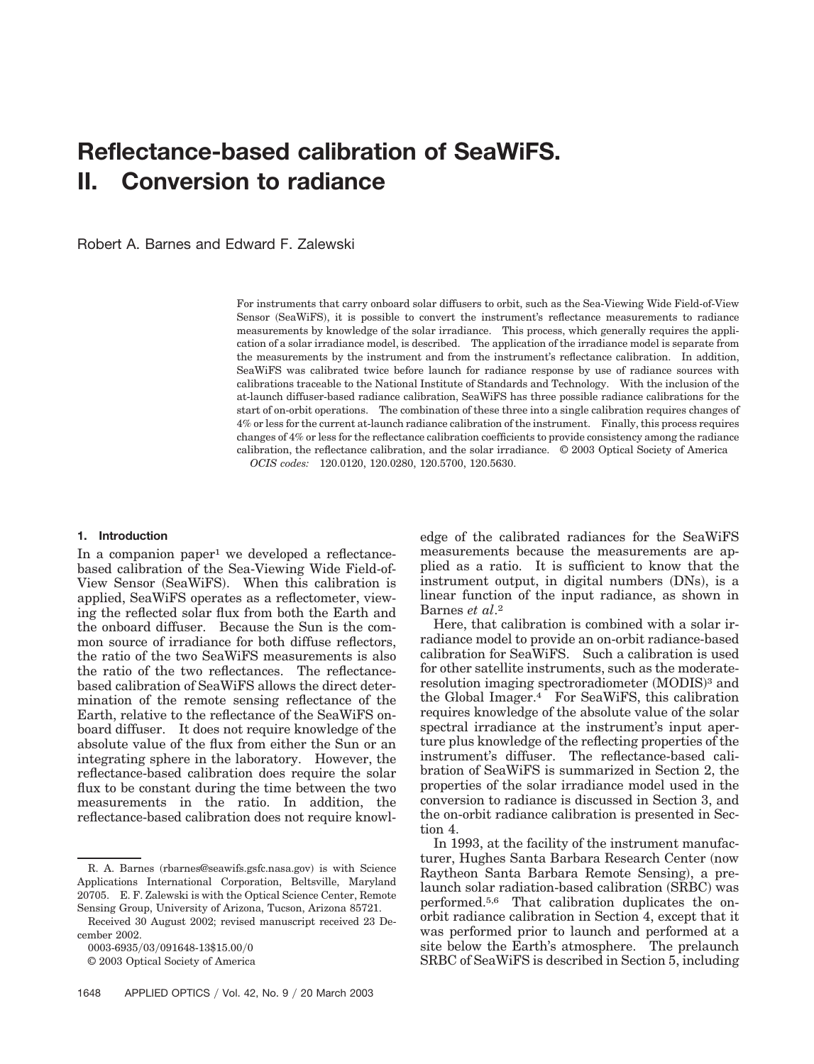# **Reflectance-based calibration of SeaWiFS. II. Conversion to radiance**

Robert A. Barnes and Edward F. Zalewski

For instruments that carry onboard solar diffusers to orbit, such as the Sea-Viewing Wide Field-of-View Sensor (SeaWiFS), it is possible to convert the instrument's reflectance measurements to radiance measurements by knowledge of the solar irradiance. This process, which generally requires the application of a solar irradiance model, is described. The application of the irradiance model is separate from the measurements by the instrument and from the instrument's reflectance calibration. In addition, SeaWiFS was calibrated twice before launch for radiance response by use of radiance sources with calibrations traceable to the National Institute of Standards and Technology. With the inclusion of the at-launch diffuser-based radiance calibration, SeaWiFS has three possible radiance calibrations for the start of on-orbit operations. The combination of these three into a single calibration requires changes of 4% or less for the current at-launch radiance calibration of the instrument. Finally, this process requires changes of 4% or less for the reflectance calibration coefficients to provide consistency among the radiance calibration, the reflectance calibration, and the solar irradiance. © 2003 Optical Society of America *OCIS codes:* 120.0120, 120.0280, 120.5700, 120.5630.

#### **1. Introduction**

In a companion paper<sup>1</sup> we developed a reflectancebased calibration of the Sea-Viewing Wide Field-of-View Sensor (SeaWiFS). When this calibration is applied, SeaWiFS operates as a reflectometer, viewing the reflected solar flux from both the Earth and the onboard diffuser. Because the Sun is the common source of irradiance for both diffuse reflectors, the ratio of the two SeaWiFS measurements is also the ratio of the two reflectances. The reflectancebased calibration of SeaWiFS allows the direct determination of the remote sensing reflectance of the Earth, relative to the reflectance of the SeaWiFS onboard diffuser. It does not require knowledge of the absolute value of the flux from either the Sun or an integrating sphere in the laboratory. However, the reflectance-based calibration does require the solar flux to be constant during the time between the two measurements in the ratio. In addition, the reflectance-based calibration does not require knowledge of the calibrated radiances for the SeaWiFS measurements because the measurements are applied as a ratio. It is sufficient to know that the instrument output, in digital numbers (DNs), is a linear function of the input radiance, as shown in Barnes *et al*.2

Here, that calibration is combined with a solar irradiance model to provide an on-orbit radiance-based calibration for SeaWiFS. Such a calibration is used for other satellite instruments, such as the moderateresolution imaging spectroradiometer (MODIS)<sup>3</sup> and the Global Imager.4 For SeaWiFS, this calibration requires knowledge of the absolute value of the solar spectral irradiance at the instrument's input aperture plus knowledge of the reflecting properties of the instrument's diffuser. The reflectance-based calibration of SeaWiFS is summarized in Section 2, the properties of the solar irradiance model used in the conversion to radiance is discussed in Section 3, and the on-orbit radiance calibration is presented in Section 4.

In 1993, at the facility of the instrument manufacturer, Hughes Santa Barbara Research Center (now Raytheon Santa Barbara Remote Sensing), a prelaunch solar radiation-based calibration (SRBC) was performed.5,6 That calibration duplicates the onorbit radiance calibration in Section 4, except that it was performed prior to launch and performed at a site below the Earth's atmosphere. The prelaunch SRBC of SeaWiFS is described in Section 5, including

R. A. Barnes (rbarnes@seawifs.gsfc.nasa.gov) is with Science Applications International Corporation, Beltsville, Maryland 20705. E. F. Zalewski is with the Optical Science Center, Remote Sensing Group, University of Arizona, Tucson, Arizona 85721.

Received 30 August 2002; revised manuscript received 23 December 2002.

<sup>0003-6935/03/091648-13\$15.00/0</sup> 

<sup>© 2003</sup> Optical Society of America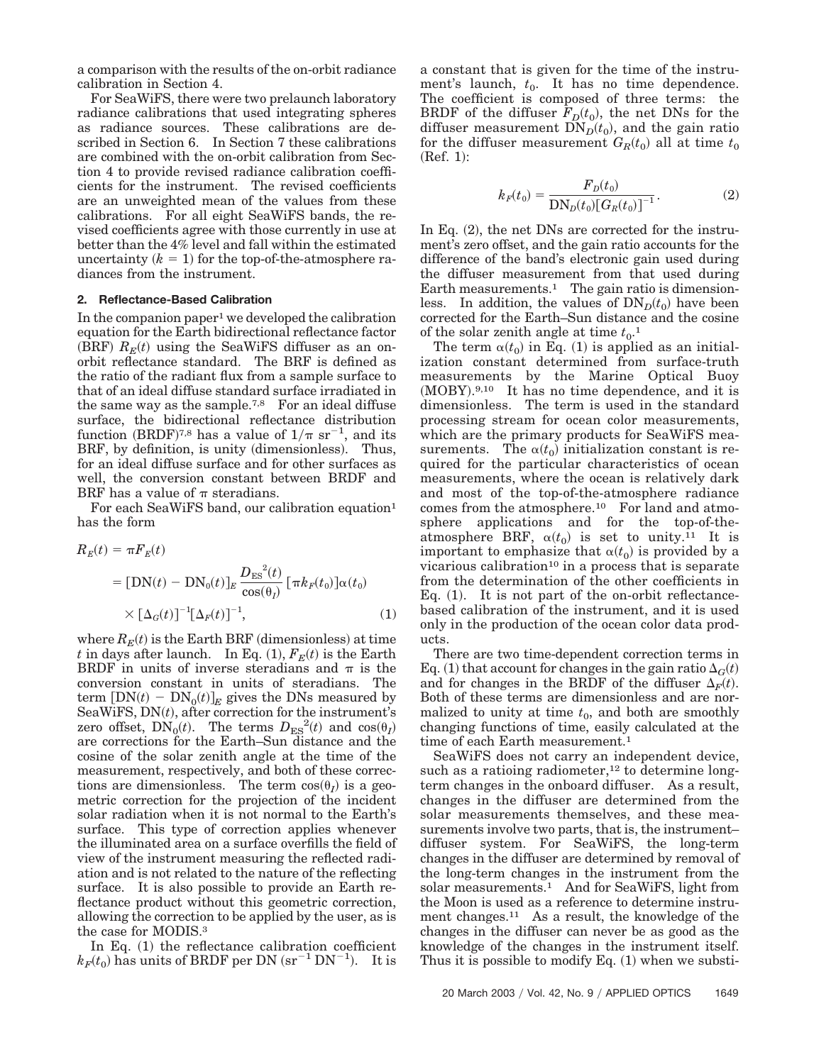a comparison with the results of the on-orbit radiance calibration in Section 4.

For SeaWiFS, there were two prelaunch laboratory radiance calibrations that used integrating spheres as radiance sources. These calibrations are described in Section 6. In Section 7 these calibrations are combined with the on-orbit calibration from Section 4 to provide revised radiance calibration coefficients for the instrument. The revised coefficients are an unweighted mean of the values from these calibrations. For all eight SeaWiFS bands, the revised coefficients agree with those currently in use at better than the 4% level and fall within the estimated uncertainty  $(k = 1)$  for the top-of-the-atmosphere radiances from the instrument.

### **2. Reflectance-Based Calibration**

In the companion paper<sup>1</sup> we developed the calibration equation for the Earth bidirectional reflectance factor  $(BRF)$   $R_E(t)$  using the SeaWiFS diffuser as an onorbit reflectance standard. The BRF is defined as the ratio of the radiant flux from a sample surface to that of an ideal diffuse standard surface irradiated in the same way as the sample.<sup>7,8</sup> For an ideal diffuse surface, the bidirectional reflectance distribution function (BRDF)<sup>7,8</sup> has a value of  $1/\pi$  sr<sup>-1</sup>, and its BRF, by definition, is unity (dimensionless). Thus, for an ideal diffuse surface and for other surfaces as well, the conversion constant between BRDF and BRF has a value of  $\pi$  steradians.

For each SeaWiFS band, our calibration equation<sup>1</sup> has the form

$$
R_E(t) = \pi F_E(t)
$$
  
= 
$$
[DN(t) - DN_0(t)]_E \frac{D_{ES}^2(t)}{\cos(\theta_I)} [\pi k_F(t_0)] \alpha(t_0)
$$
  

$$
\times [\Delta_G(t)]^{-1} [\Delta_F(t)]^{-1}, \qquad (1)
$$

where  $R_E(t)$  is the Earth BRF (dimensionless) at time *t* in days after launch. In Eq.  $(1)$ ,  $F_E(t)$  is the Earth BRDF in units of inverse steradians and  $\pi$  is the conversion constant in units of steradians. The term  $[DN(t) - DN_0(t)]_E$  gives the DNs measured by SeaWiFS,  $DN(t)$ , after correction for the instrument's zero offset,  $\overline{DN}_0(t)$ . The terms  $D_{ES}^2(t)$  and  $\cos(\theta_I)$ are corrections for the Earth–Sun distance and the cosine of the solar zenith angle at the time of the measurement, respectively, and both of these corrections are dimensionless. The term  $cos(\theta_I)$  is a geometric correction for the projection of the incident solar radiation when it is not normal to the Earth's surface. This type of correction applies whenever the illuminated area on a surface overfills the field of view of the instrument measuring the reflected radiation and is not related to the nature of the reflecting surface. It is also possible to provide an Earth reflectance product without this geometric correction, allowing the correction to be applied by the user, as is the case for MODIS.3

In Eq. (1) the reflectance calibration coefficient  $k_F(t_0)$  has units of BRDF per DN  $\rm (sr^{-1}$  DN<sup>-1</sup>). It is a constant that is given for the time of the instrument's launch,  $t_0$ . It has no time dependence. The coefficient is composed of three terms: the BRDF of the diffuser  $F_D(t_0)$ , the net DNs for the diffuser measurement  $\text{DN}_D(t_0)$ , and the gain ratio for the diffuser measurement  $G_R(t_0)$  all at time  $t_0$  $(Ref. 1):$ 

$$
k_F(t_0) = \frac{F_D(t_0)}{DN_D(t_0)[G_R(t_0)]^{-1}}.
$$
\n(2)

In Eq. (2), the net DNs are corrected for the instrument's zero offset, and the gain ratio accounts for the difference of the band's electronic gain used during the diffuser measurement from that used during Earth measurements.<sup>1</sup> The gain ratio is dimensionless. In addition, the values of  $DN<sub>D</sub>(t<sub>0</sub>)$  have been corrected for the Earth–Sun distance and the cosine of the solar zenith angle at time  $t_0$ <sup>1</sup>

The term  $\alpha(t_0)$  in Eq. (1) is applied as an initialization constant determined from surface-truth measurements by the Marine Optical Buoy (MOBY).<sup>9,10</sup> It has no time dependence, and it is dimensionless. The term is used in the standard processing stream for ocean color measurements, which are the primary products for SeaWiFS measurements. The  $\alpha(t_0)$  initialization constant is required for the particular characteristics of ocean measurements, where the ocean is relatively dark and most of the top-of-the-atmosphere radiance comes from the atmosphere.10 For land and atmosphere applications and for the top-of-theatmosphere BRF,  $\alpha(t_0)$  is set to unity.<sup>11</sup> It is important to emphasize that  $\alpha(t_0)$  is provided by a vicarious calibration<sup>10</sup> in a process that is separate from the determination of the other coefficients in Eq.  $(1)$ . It is not part of the on-orbit reflectancebased calibration of the instrument, and it is used only in the production of the ocean color data products.

There are two time-dependent correction terms in Eq. (1) that account for changes in the gain ratio  $\Delta_G(t)$ and for changes in the BRDF of the diffuser  $\Delta_F(t)$ . Both of these terms are dimensionless and are normalized to unity at time  $t_0$ , and both are smoothly changing functions of time, easily calculated at the time of each Earth measurement.<sup>1</sup>

SeaWiFS does not carry an independent device, such as a ratioing radiometer, $12$  to determine longterm changes in the onboard diffuser. As a result, changes in the diffuser are determined from the solar measurements themselves, and these measurements involve two parts, that is, the instrument– diffuser system. For SeaWiFS, the long-term changes in the diffuser are determined by removal of the long-term changes in the instrument from the solar measurements.1 And for SeaWiFS, light from the Moon is used as a reference to determine instrument changes.<sup>11</sup> As a result, the knowledge of the changes in the diffuser can never be as good as the knowledge of the changes in the instrument itself. Thus it is possible to modify Eq.  $(1)$  when we substi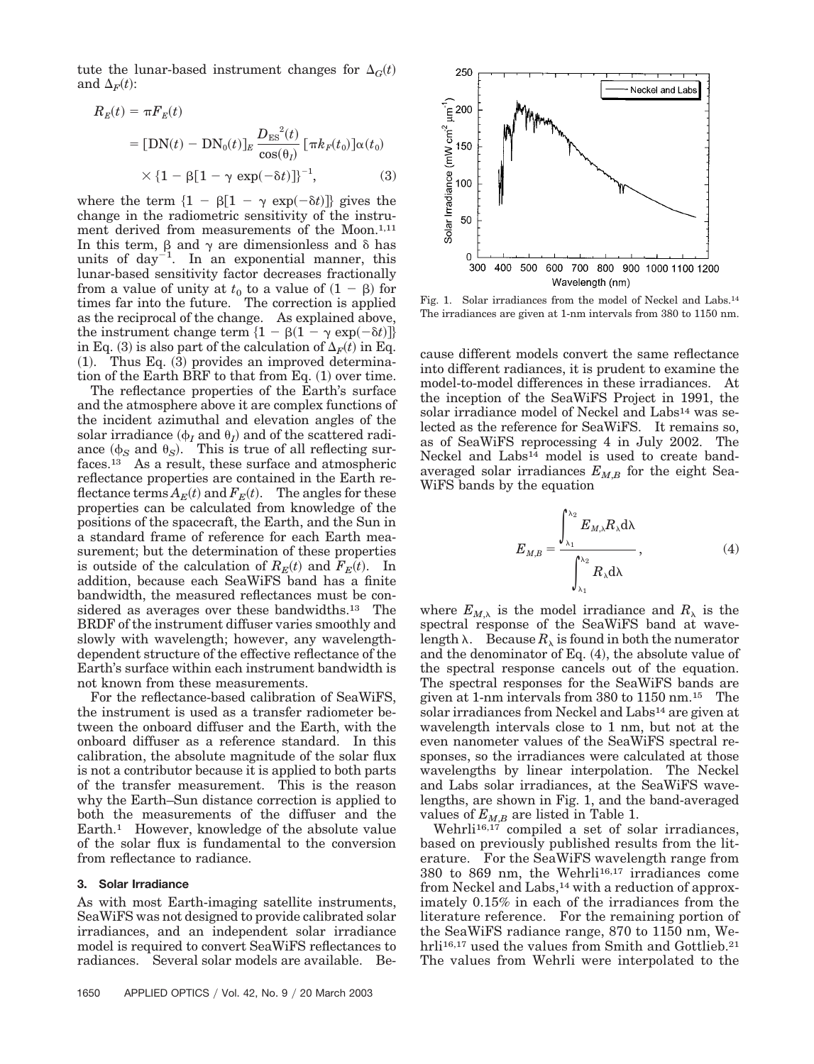tute the lunar-based instrument changes for  $\Delta_G(t)$ and  $\Delta_F(t)$ :

$$
R_E(t) = \pi F_E(t)
$$
  
= [DN(t) – DN<sub>0</sub>(t)]<sub>E</sub>  $\frac{D_{ES}^2(t)}{\cos(\theta_l)} [\pi k_F(t_0)] \alpha(t_0)$   
 $\times \{1 - \beta[1 - \gamma \exp(-\delta t)]\}^{-1},$  (3)

where the term  $\{1 - \beta[1 - \gamma \exp(-\delta t)]\}$  gives the change in the radiometric sensitivity of the instrument derived from measurements of the Moon.<sup>1,11</sup> In this term,  $\beta$  and  $\gamma$  are dimensionless and  $\delta$  has units of  $day^{-1}$ . In an exponential manner, this lunar-based sensitivity factor decreases fractionally from a value of unity at  $t_0$  to a value of  $(1 - \beta)$  for times far into the future. The correction is applied as the reciprocal of the change. As explained above, the instrument change term  $\{1 - \beta(1 - \gamma \exp(-\delta t)]\}$ in Eq. (3) is also part of the calculation of  $\Delta_F(t)$  in Eq.  $(1)$ . Thus Eq.  $(3)$  provides an improved determination of the Earth BRF to that from Eq.  $(1)$  over time.

The reflectance properties of the Earth's surface and the atmosphere above it are complex functions of the incident azimuthal and elevation angles of the  $\text{scalar irradiance } (\varphi_I \text{ and } \theta_I) \text{ and of the scattered radii-}$ ance  $(\phi_S \text{ and } \theta_S)$ . This is true of all reflecting surfaces.13 As a result, these surface and atmospheric reflectance properties are contained in the Earth reflectance  $\text{terms } A_E(t)$  and  $F_E(t)$ . The angles for these properties can be calculated from knowledge of the positions of the spacecraft, the Earth, and the Sun in a standard frame of reference for each Earth measurement; but the determination of these properties is outside of the calculation of  $R_E(t)$  and  $F_E(t)$ . In addition, because each SeaWiFS band has a finite bandwidth, the measured reflectances must be considered as averages over these bandwidths.<sup>13</sup> The BRDF of the instrument diffuser varies smoothly and slowly with wavelength; however, any wavelengthdependent structure of the effective reflectance of the Earth's surface within each instrument bandwidth is not known from these measurements.

For the reflectance-based calibration of SeaWiFS, the instrument is used as a transfer radiometer between the onboard diffuser and the Earth, with the onboard diffuser as a reference standard. In this calibration, the absolute magnitude of the solar flux is not a contributor because it is applied to both parts of the transfer measurement. This is the reason why the Earth–Sun distance correction is applied to both the measurements of the diffuser and the Earth.1 However, knowledge of the absolute value of the solar flux is fundamental to the conversion from reflectance to radiance.

## **3. Solar Irradiance**

As with most Earth-imaging satellite instruments, SeaWiFS was not designed to provide calibrated solar irradiances, and an independent solar irradiance model is required to convert SeaWiFS reflectances to radiances. Several solar models are available. Be-



Fig. 1. Solar irradiances from the model of Neckel and Labs.14 The irradiances are given at 1-nm intervals from 380 to 1150 nm.

cause different models convert the same reflectance into different radiances, it is prudent to examine the model-to-model differences in these irradiances. At the inception of the SeaWiFS Project in 1991, the solar irradiance model of Neckel and Labs<sup>14</sup> was selected as the reference for SeaWiFS. It remains so, as of SeaWiFS reprocessing 4 in July 2002. The Neckel and Labs<sup>14</sup> model is used to create bandaveraged solar irradiances  $E_{M,B}$  for the eight Sea-WiFS bands by the equation

$$
E_{M,B} = \frac{\int_{\lambda_1}^{\lambda_2} E_{M,\lambda} R_{\lambda} d\lambda}{\int_{\lambda_1}^{\lambda_2} R_{\lambda} d\lambda},
$$
 (4)

where  $E_{M,\lambda}$  is the model irradiance and  $R_{\lambda}$  is the spectral response of the SeaWiFS band at wavelength  $\lambda$ . Because  $R_{\lambda}$  is found in both the numerator and the denominator of Eq.  $(4)$ , the absolute value of the spectral response cancels out of the equation. The spectral responses for the SeaWiFS bands are given at 1-nm intervals from 380 to 1150 nm.15 The solar irradiances from Neckel and Labs<sup>14</sup> are given at wavelength intervals close to 1 nm, but not at the even nanometer values of the SeaWiFS spectral responses, so the irradiances were calculated at those wavelengths by linear interpolation. The Neckel and Labs solar irradiances, at the SeaWiFS wavelengths, are shown in Fig. 1, and the band-averaged values of  $E_{M,B}$  are listed in Table 1.

Wehrli<sup>16,17</sup> compiled a set of solar irradiances, based on previously published results from the literature. For the SeaWiFS wavelength range from 380 to 869 nm, the Wehrli<sup>16,17</sup> irradiances come from Neckel and Labs,<sup>14</sup> with a reduction of approximately 0.15% in each of the irradiances from the literature reference. For the remaining portion of the SeaWiFS radiance range, 870 to 1150 nm, Wehrli<sup>16,17</sup> used the values from Smith and Gottlieb.<sup>21</sup> The values from Wehrli were interpolated to the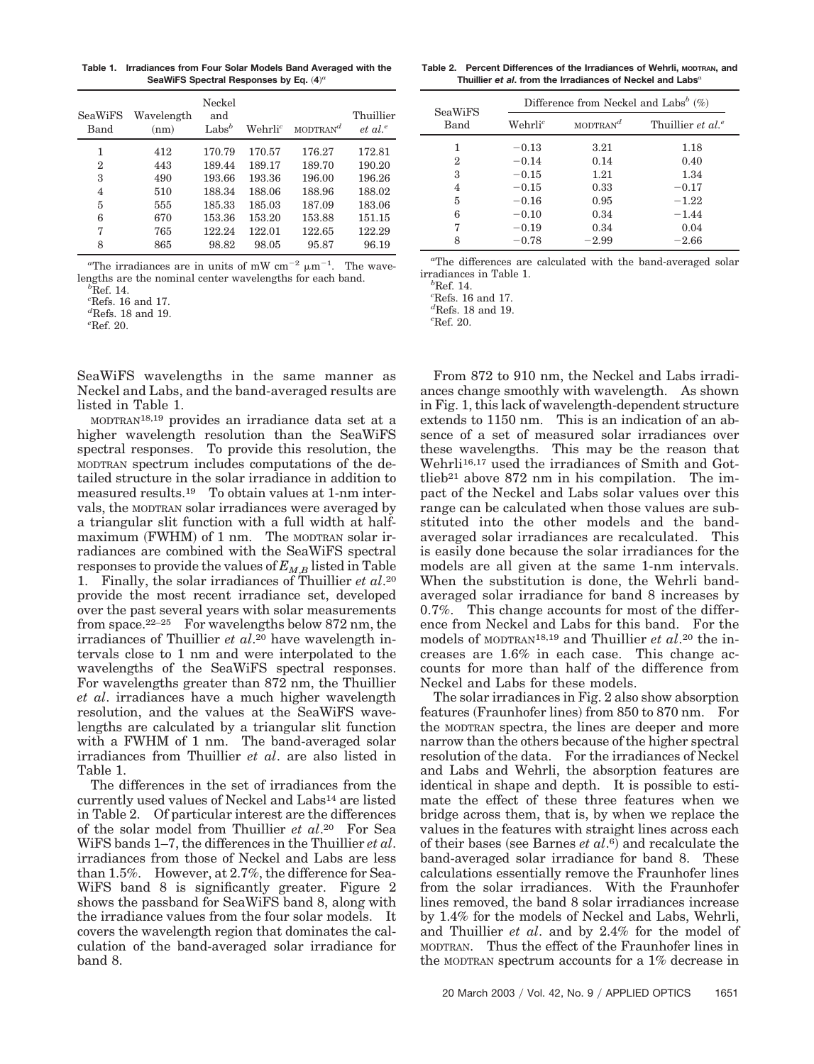**Table 1. Irradiances from Four Solar Models Band Averaged with the** SeaWiFS Spectral Responses by Eq.  $(4)^a$ 

| SeaWiFS<br>Band | Wavelength<br>(nm) | Neckel<br>and<br>Labs <sup>b</sup> | $Wehrli^c$ | $MODTRAN^d$ | Thuillier<br>$et al.$ <sup>e</sup> |
|-----------------|--------------------|------------------------------------|------------|-------------|------------------------------------|
| 1               | 412                | 170.79                             | 170.57     | 176.27      | 172.81                             |
| $\overline{2}$  | 443                | 189.44                             | 189.17     | 189.70      | 190.20                             |
| 3               | 490                | 193.66                             | 193.36     | 196.00      | 196.26                             |
| 4               | 510                | 188.34                             | 188.06     | 188.96      | 188.02                             |
| 5               | 555                | 185.33                             | 185.03     | 187.09      | 183.06                             |
| 6               | 670                | 153.36                             | 153.20     | 153.88      | 151.15                             |
| 7               | 765                | 122.24                             | 122.01     | 122.65      | 122.29                             |
| 8               | 865                | 98.82                              | 98.05      | 95.87       | 96.19                              |
|                 |                    |                                    |            |             |                                    |

<sup>a</sup>The irradiances are in units of mW cm<sup>-2</sup>  $\mu$ m<sup>-1</sup>. The wavelengths are the nominal center wavelengths for each band. *<sup>b</sup>*

 ${}^{b}$ Ref. 14.

*c* Refs. 16 and 17.

*d* Refs. 18 and 19.

*e* Ref. 20.

SeaWiFS wavelengths in the same manner as Neckel and Labs, and the band-averaged results are listed in Table 1.

MODTRAN18,19 provides an irradiance data set at a higher wavelength resolution than the SeaWiFS spectral responses. To provide this resolution, the MODTRAN spectrum includes computations of the detailed structure in the solar irradiance in addition to measured results.19 To obtain values at 1-nm intervals, the MODTRAN solar irradiances were averaged by a triangular slit function with a full width at halfmaximum (FWHM) of 1 nm. The MODTRAN solar irradiances are combined with the SeaWiFS spectral responses to provide the values of  $E_{M,B}$  listed in Table 1. Finally, the solar irradiances of Thuillier *et al*.20 provide the most recent irradiance set, developed over the past several years with solar measurements from space.<sup>22–25</sup> For wavelengths below 872 nm, the irradiances of Thuillier *et al*.20 have wavelength intervals close to 1 nm and were interpolated to the wavelengths of the SeaWiFS spectral responses. For wavelengths greater than 872 nm, the Thuillier *et al*. irradiances have a much higher wavelength resolution, and the values at the SeaWiFS wavelengths are calculated by a triangular slit function with a FWHM of 1 nm. The band-averaged solar irradiances from Thuillier *et al*. are also listed in Table 1.

The differences in the set of irradiances from the currently used values of Neckel and Labs14 are listed in Table 2. Of particular interest are the differences of the solar model from Thuillier *et al*.20 For Sea WiFS bands 1–7, the differences in the Thuillier *et al*. irradiances from those of Neckel and Labs are less than 1.5%. However, at 2.7%, the difference for Sea-WiFS band 8 is significantly greater. Figure 2 shows the passband for SeaWiFS band 8, along with the irradiance values from the four solar models. It covers the wavelength region that dominates the calculation of the band-averaged solar irradiance for band 8.

**Table 2. Percent Differences of the Irradiances of Wehrli, MODTRAN, and Thuillier** *et al***. from the Irradiances of Neckel and Labs***<sup>a</sup>*

| <b>SeaWiFS</b> | Difference from Neckel and Labs <sup>b</sup> $(\%)$ |             |                               |  |
|----------------|-----------------------------------------------------|-------------|-------------------------------|--|
| Band           | $\operatorname{Wehrli}^c$                           | $MODTRAN^d$ | Thuillier et al. <sup>e</sup> |  |
| 1              | $-0.13$                                             | 3.21        | 1.18                          |  |
| 2              | $-0.14$                                             | 0.14        | 0.40                          |  |
| 3              | $-0.15$                                             | 1.21        | 1.34                          |  |
| 4              | $-0.15$                                             | 0.33        | $-0.17$                       |  |
| 5              | $-0.16$                                             | 0.95        | $-1.22$                       |  |
| 6              | $-0.10$                                             | 0.34        | $-1.44$                       |  |
| 7              | $-0.19$                                             | 0.34        | 0.04                          |  |
| 8              | $-0.78$                                             | $-2.99$     | $-2.66$                       |  |

*a* The differences are calculated with the band-averaged solar irradiances in Table 1. *<sup>b</sup>*

 ${}^{b}$ Ref. 14.

*c* Refs. 16 and 17. *d* Refs. 18 and 19.

*e* Ref. 20.

From 872 to 910 nm, the Neckel and Labs irradiances change smoothly with wavelength. As shown in Fig. 1, this lack of wavelength-dependent structure extends to 1150 nm. This is an indication of an absence of a set of measured solar irradiances over these wavelengths. This may be the reason that Wehrli16,17 used the irradiances of Smith and Gottlieb21 above 872 nm in his compilation. The impact of the Neckel and Labs solar values over this range can be calculated when those values are substituted into the other models and the bandaveraged solar irradiances are recalculated. This is easily done because the solar irradiances for the models are all given at the same 1-nm intervals. When the substitution is done, the Wehrli bandaveraged solar irradiance for band 8 increases by 0.7%. This change accounts for most of the difference from Neckel and Labs for this band. For the models of MODTRAN18,19 and Thuillier *et al*.20 the increases are 1.6% in each case. This change accounts for more than half of the difference from Neckel and Labs for these models.

The solar irradiances in Fig. 2 also show absorption features (Fraunhofer lines) from 850 to 870 nm. For the MODTRAN spectra, the lines are deeper and more narrow than the others because of the higher spectral resolution of the data. For the irradiances of Neckel and Labs and Wehrli, the absorption features are identical in shape and depth. It is possible to estimate the effect of these three features when we bridge across them, that is, by when we replace the values in the features with straight lines across each of their bases (see Barnes *et al.*<sup>6</sup>) and recalculate the band-averaged solar irradiance for band 8. These calculations essentially remove the Fraunhofer lines from the solar irradiances. With the Fraunhofer lines removed, the band 8 solar irradiances increase by 1.4% for the models of Neckel and Labs, Wehrli, and Thuillier *et al*. and by 2.4% for the model of MODTRAN. Thus the effect of the Fraunhofer lines in the MODTRAN spectrum accounts for a 1% decrease in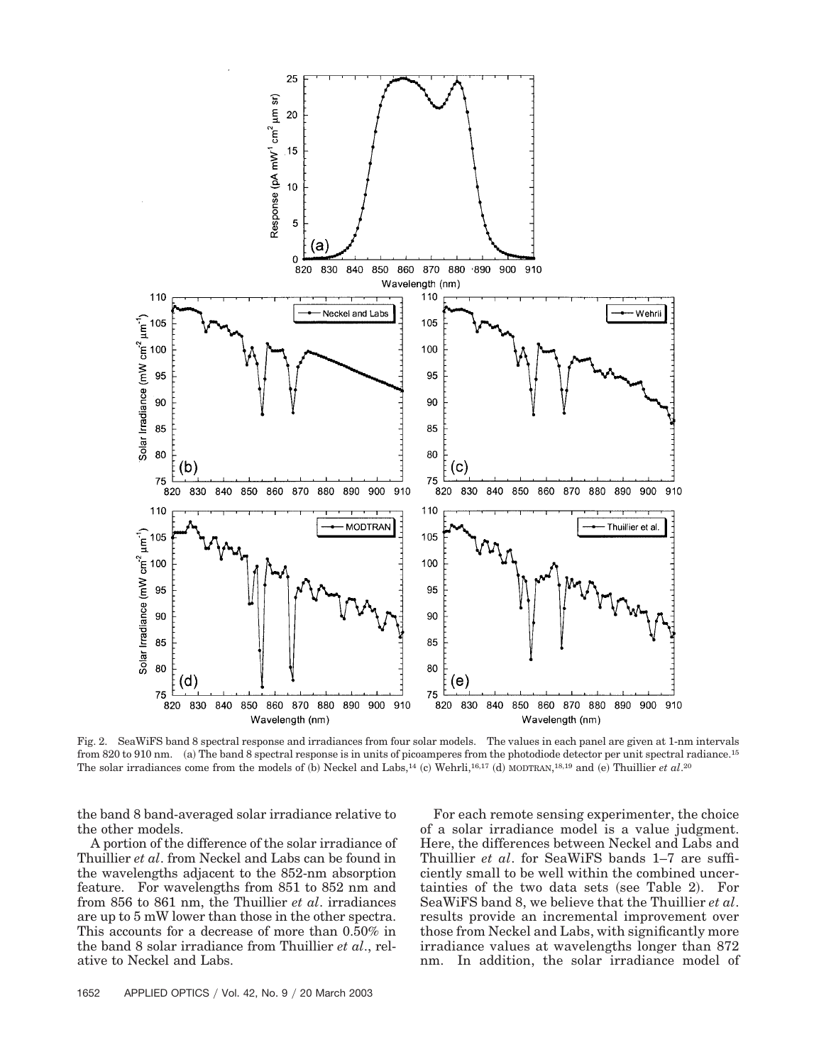

Fig. 2. SeaWiFS band 8 spectral response and irradiances from four solar models. The values in each panel are given at 1-nm intervals from 820 to 910 nm. (a) The band 8 spectral response is in units of picoamperes from the photodiode detector per unit spectral radiance.<sup>15</sup> The solar irradiances come from the models of (b) Neckel and Labs,<sup>14</sup> (c) Wehrli,<sup>16,17</sup> (d) MODTRAN,<sup>18,19</sup> and (e) Thuillier *et al.*<sup>20</sup>

the band 8 band-averaged solar irradiance relative to the other models.

A portion of the difference of the solar irradiance of Thuillier *et al*. from Neckel and Labs can be found in the wavelengths adjacent to the 852-nm absorption feature. For wavelengths from 851 to 852 nm and from 856 to 861 nm, the Thuillier *et al*. irradiances are up to 5 mW lower than those in the other spectra. This accounts for a decrease of more than 0.50% in the band 8 solar irradiance from Thuillier *et al*., relative to Neckel and Labs.

For each remote sensing experimenter, the choice of a solar irradiance model is a value judgment. Here, the differences between Neckel and Labs and Thuillier *et al*. for SeaWiFS bands 1–7 are sufficiently small to be well within the combined uncertainties of the two data sets (see Table 2). For SeaWiFS band 8, we believe that the Thuillier *et al*. results provide an incremental improvement over those from Neckel and Labs, with significantly more irradiance values at wavelengths longer than 872 nm. In addition, the solar irradiance model of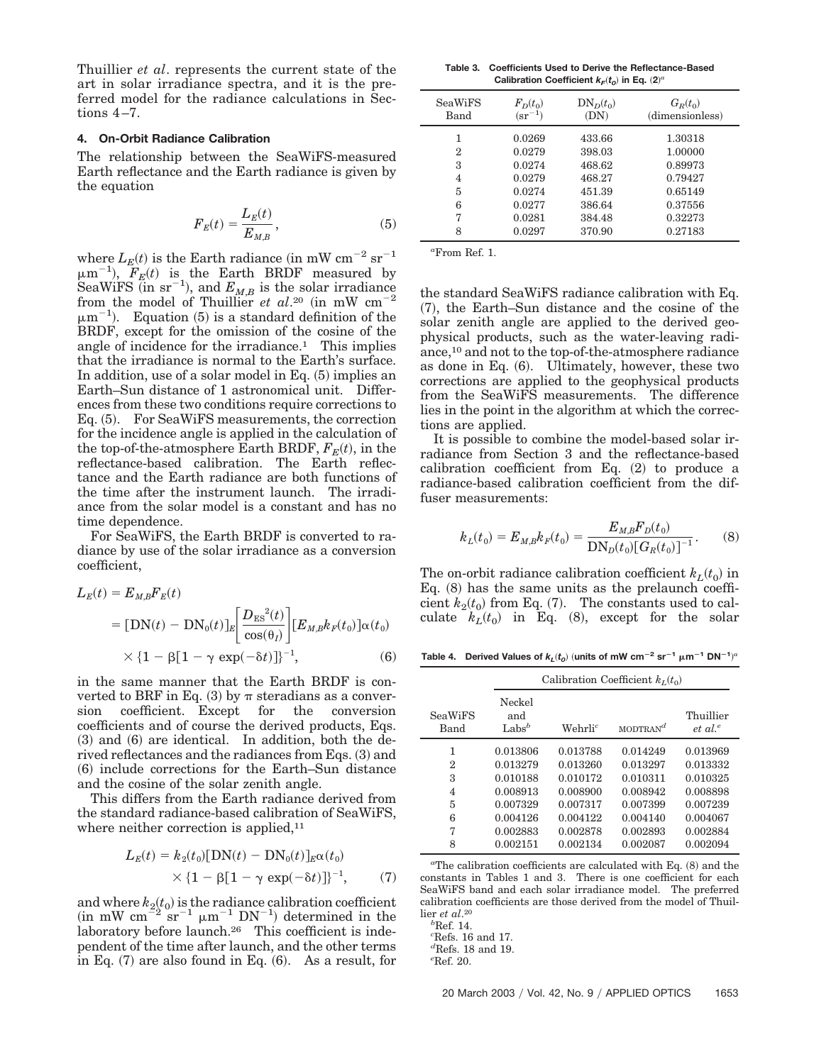Thuillier *et al*. represents the current state of the art in solar irradiance spectra, and it is the preferred model for the radiance calculations in Sections 4–7.

### **4. On-Orbit Radiance Calibration**

The relationship between the SeaWiFS-measured Earth reflectance and the Earth radiance is given by the equation

$$
F_E(t) = \frac{L_E(t)}{E_{M,B}},\tag{5}
$$

where  $L_E(t)$  is the Earth radiance (in mW cm<sup>-2</sup> sr<sup>-1</sup>  $\mu$ m<sup>-1</sup>),  $F_E(t)$  is the Earth BRDF measured by SeaWiFS (in  $sr^{-1}$ ), and  $E_{M,B}$  is the solar irradiance from the model of Thuillier *et al.*<sup>20</sup> (in mW  $cm^{-2}$ )  $\mu$ m<sup>-1</sup>). Equation (5) is a standard definition of the BRDF, except for the omission of the cosine of the angle of incidence for the irradiance.1 This implies that the irradiance is normal to the Earth's surface. In addition, use of a solar model in Eq.  $(5)$  implies an Earth–Sun distance of 1 astronomical unit. Differences from these two conditions require corrections to Eq. (5). For SeaWiFS measurements, the correction for the incidence angle is applied in the calculation of the top-of-the-atmosphere Earth BRDF,  $F_E(t)$ , in the reflectance-based calibration. The Earth reflectance and the Earth radiance are both functions of the time after the instrument launch. The irradiance from the solar model is a constant and has no time dependence.

For SeaWiFS, the Earth BRDF is converted to radiance by use of the solar irradiance as a conversion coefficient,

$$
L_E(t) = E_{M,B}F_E(t)
$$
  
= [DN(t) – DN<sub>0</sub>(t)]<sub>E</sub>  $\bigg[ \frac{D_{ES}^2(t)}{\cos(\theta_l)} \bigg] [E_{M,B}k_F(t_0)] \alpha(t_0)$   
 $\times \{1 - \beta[1 - \gamma \exp(-\delta t)]\}^{-1},$  (6)

in the same manner that the Earth BRDF is converted to BRF in Eq. (3) by  $\pi$  steradians as a conversion coefficient. Except for the conversion coefficients and of course the derived products, Eqs.  $(3)$  and  $(6)$  are identical. In addition, both the derived reflectances and the radiances from Eqs. (3) and (6) include corrections for the Earth–Sun distance and the cosine of the solar zenith angle.

This differs from the Earth radiance derived from the standard radiance-based calibration of SeaWiFS, where neither correction is applied,<sup>11</sup>

$$
L_E(t) = k_2(t_0)[DN(t) - DN_0(t)]_E \alpha(t_0)
$$
  
 
$$
\times \{1 - \beta[1 - \gamma \exp(-\delta t)]\}^{-1}, \qquad (7)
$$

and where  $k_2(t_0)$  is the radiance calibration coefficient  $\sin mW$  cm<sup>2</sup>  $\text{sr}^{-1}$   $\mu$ m<sup>-1</sup> DN<sup>-1</sup>) determined in the laboratory before launch.<sup>26</sup> This coefficient is independent of the time after launch, and the other terms in Eq.  $(7)$  are also found in Eq.  $(6)$ . As a result, for

**Table 3. Coefficients Used to Derive the Reflectance-Based** Calibration Coefficient  $k_F(t_o)$  in Eq.  $(2)^a$ 

| <b>SeaWiFS</b><br>Band | $F_D(t_0)$<br>$(\rm{sr}^{-1})$ | $DN_{D}(t_{0})$<br>(DN) | $G_R(t_0)$<br>(dimensionless) |
|------------------------|--------------------------------|-------------------------|-------------------------------|
| $\overline{2}$         | 0.0269<br>0.0279               | 433.66<br>398.03        | 1.30318<br>1.00000            |
| 3                      | 0.0274                         | 468.62                  | 0.89973                       |
| 4                      | 0.0279                         | 468.27                  | 0.79427                       |
| 5                      | 0.0274                         | 451.39                  | 0.65149                       |
| 6                      | 0.0277                         | 386.64                  | 0.37556                       |
| 7                      | 0.0281                         | 384.48                  | 0.32273                       |
| 8                      | 0.0297                         | 370.90                  | 0.27183                       |

*a* From Ref. 1.

the standard SeaWiFS radiance calibration with Eq. (7), the Earth–Sun distance and the cosine of the solar zenith angle are applied to the derived geophysical products, such as the water-leaving radiance,10 and not to the top-of-the-atmosphere radiance as done in Eq. (6). Ultimately, however, these two corrections are applied to the geophysical products from the SeaWiFS measurements. The difference lies in the point in the algorithm at which the corrections are applied.

It is possible to combine the model-based solar irradiance from Section 3 and the reflectance-based calibration coefficient from Eq.  $(2)$  to produce a radiance-based calibration coefficient from the diffuser measurements:

$$
k_L(t_0) = E_{M,B} k_F(t_0) = \frac{E_{M,B} F_D(t_0)}{D N_D(t_0) [G_R(t_0)]^{-1}}.
$$
 (8)

The on-orbit radiance calibration coefficient  $k_L(t_0)$  in Eq.  $(8)$  has the same units as the prelaunch coefficient  $k_2(t_0)$  from Eq. (7). The constants used to cal- $\text{culate} \quad k_L(t_0)$  in Eq. (8), except for the solar

Table 4. Derived Values of  $k_L(t_o)$  (units of mW cm<sup>-2</sup> sr<sup>-1</sup>  $\mu$ m<sup>-1</sup> DN<sup>-1</sup>)<sup>a</sup>

|                        |                                    | Calibration Coefficient $k_I(t_0)$ |              |                          |  |
|------------------------|------------------------------------|------------------------------------|--------------|--------------------------|--|
| <b>SeaWiFS</b><br>Band | Neckel<br>and<br>Labs <sup>b</sup> | $\mathrm{Wehrli}^{c}$              | MODTRAN $^d$ | Thuillier<br>$et \ al^e$ |  |
| 1                      | 0.013806                           | 0.013788                           | 0.014249     | 0.013969                 |  |
| 2                      | 0.013279                           | 0.013260                           | 0.013297     | 0.013332                 |  |
| 3                      | 0.010188                           | 0.010172                           | 0.010311     | 0.010325                 |  |
| $\overline{4}$         | 0.008913                           | 0.008900                           | 0.008942     | 0.008898                 |  |
| 5                      | 0.007329                           | 0.007317                           | 0.007399     | 0.007239                 |  |
| 6                      | 0.004126                           | 0.004122                           | 0.004140     | 0.004067                 |  |
| 7                      | 0.002883                           | 0.002878                           | 0.002893     | 0.002884                 |  |
| 8                      | 0.002151                           | 0.002134                           | 0.002087     | 0.002094                 |  |

<sup>a</sup>The calibration coefficients are calculated with Eq. (8) and the constants in Tables 1 and 3. There is one coefficient for each SeaWiFS band and each solar irradiance model. The preferred calibration coefficients are those derived from the model of Thuillier *et al*.20

*b* Ref. 14.

*c* Refs. 16 and 17.

*d* Refs. 18 and 19.

*e* Ref. 20.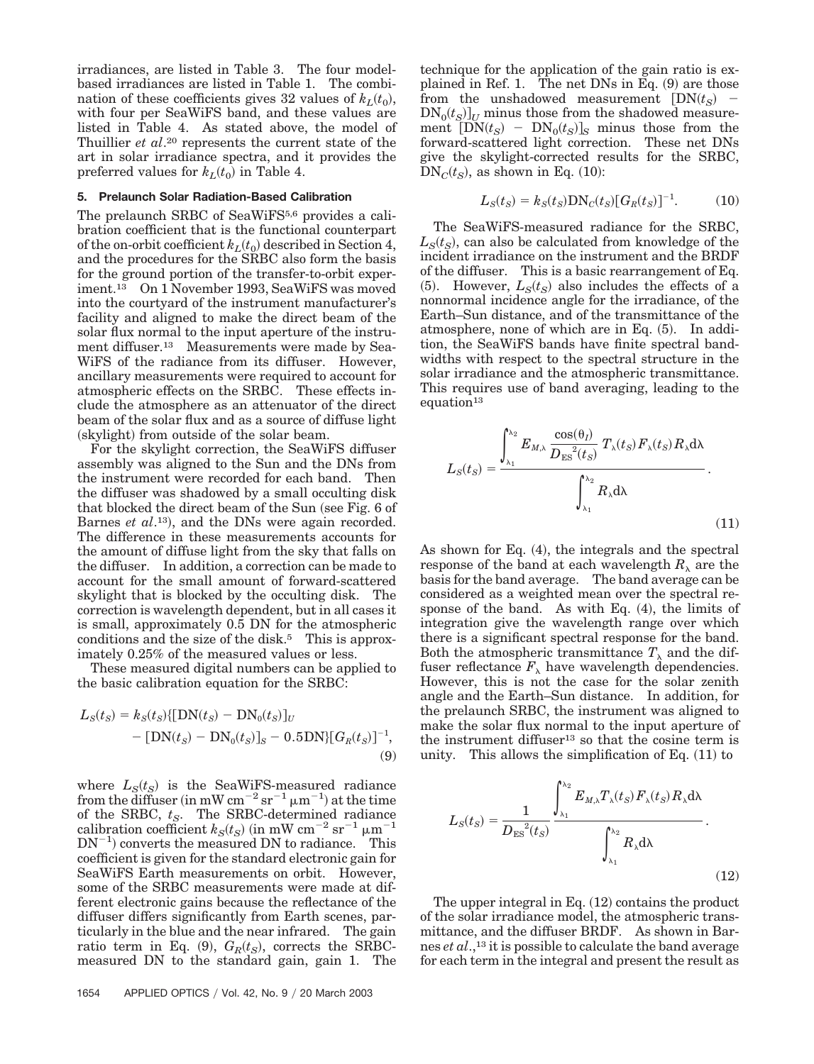irradiances, are listed in Table 3. The four modelbased irradiances are listed in Table 1. The combination of these coefficients gives 32 values of  $k_L(t_0)$ , with four per SeaWiFS band, and these values are listed in Table 4. As stated above, the model of Thuillier *et al*.20 represents the current state of the art in solar irradiance spectra, and it provides the preferred values for  $k_L(t_0)$  in Table 4.

## **5. Prelaunch Solar Radiation-Based Calibration**

The prelaunch SRBC of SeaWiFS<sup>5,6</sup> provides a calibration coefficient that is the functional counterpart of the on-orbit coefficient  $k_L(t_0)$  described in Section 4, and the procedures for the SRBC also form the basis for the ground portion of the transfer-to-orbit experiment.13 On 1 November 1993, SeaWiFS was moved into the courtyard of the instrument manufacturer's facility and aligned to make the direct beam of the solar flux normal to the input aperture of the instrument diffuser.<sup>13</sup> Measurements were made by Sea-WiFS of the radiance from its diffuser. However, ancillary measurements were required to account for atmospheric effects on the SRBC. These effects include the atmosphere as an attenuator of the direct beam of the solar flux and as a source of diffuse light (skylight) from outside of the solar beam.

For the skylight correction, the SeaWiFS diffuser assembly was aligned to the Sun and the DNs from the instrument were recorded for each band. Then the diffuser was shadowed by a small occulting disk that blocked the direct beam of the Sun (see Fig. 6 of Barnes *et al.*<sup>13</sup>), and the DNs were again recorded. The difference in these measurements accounts for the amount of diffuse light from the sky that falls on the diffuser. In addition, a correction can be made to account for the small amount of forward-scattered skylight that is blocked by the occulting disk. The correction is wavelength dependent, but in all cases it is small, approximately 0.5 DN for the atmospheric conditions and the size of the disk.<sup>5</sup> This is approximately 0.25% of the measured values or less.

These measured digital numbers can be applied to the basic calibration equation for the SRBC:

$$
L_S(t_S) = k_S(t_S) \{ [DN(t_S) - DN_0(t_S)]_U
$$
  
– [DN(t\_S) - DN\_0(t\_S)]\_S - 0.5DN\} [G\_R(t\_S)]^{-1}, (9)

where  $L_S(t_S)$  is the SeaWiFS-measured radiance from the diffuser (in mW cm<sup>-2</sup> sr<sup>-1</sup>  $\mu$ m<sup>-1</sup>) at the time of the SRBC,  $t<sub>S</sub>$ . The SRBC-determined radiance  $\text{calibration coefficient} \ k_S(t_S) \text{ (in mW cm}^{-2} \text{ sr}^{-1} \ \mu \text{m}^{-1}$  $DN^{-1}$ ) converts the measured DN to radiance. This coefficient is given for the standard electronic gain for SeaWiFS Earth measurements on orbit. However, some of the SRBC measurements were made at different electronic gains because the reflectance of the diffuser differs significantly from Earth scenes, particularly in the blue and the near infrared. The gain ratio term in Eq.  $(9)$ ,  $G_R(t_S)$ , corrects the SRBCmeasured DN to the standard gain, gain 1. The

$$
L_S(t_S) = k_S(t_S) \text{DN}_C(t_S) [G_R(t_S)]^{-1}.
$$
 (10)

The SeaWiFS-measured radiance for the SRBC,  $L_S(t_S)$ , can also be calculated from knowledge of the incident irradiance on the instrument and the BRDF of the diffuser. This is a basic rearrangement of Eq.  $(5)$ . However,  $L_S(t_S)$  also includes the effects of a nonnormal incidence angle for the irradiance, of the Earth–Sun distance, and of the transmittance of the atmosphere, none of which are in Eq.  $(5)$ . In addition, the SeaWiFS bands have finite spectral bandwidths with respect to the spectral structure in the solar irradiance and the atmospheric transmittance. This requires use of band averaging, leading to the equation<sup>13</sup>

$$
L_{S}(t_{S}) = \frac{\int_{\lambda_{1}}^{\lambda_{2}} E_{M,\lambda} \frac{\cos(\theta_{I})}{D_{ES}^{2}(t_{S})} T_{\lambda}(t_{S}) F_{\lambda}(t_{S}) R_{\lambda} d\lambda}{\int_{\lambda_{1}}^{\lambda_{2}} R_{\lambda} d\lambda}.
$$
\n(11)

As shown for Eq.  $(4)$ , the integrals and the spectral response of the band at each wavelength  $R_{\lambda}$  are the basis for the band average. The band average can be considered as a weighted mean over the spectral response of the band. As with Eq.  $(4)$ , the limits of integration give the wavelength range over which there is a significant spectral response for the band. Both the atmospheric transmittance  $T_{\lambda}$  and the diffuser reflectance  $F_{\lambda}$  have wavelength dependencies. However, this is not the case for the solar zenith angle and the Earth–Sun distance. In addition, for the prelaunch SRBC, the instrument was aligned to make the solar flux normal to the input aperture of the instrument diffuser<sup>13</sup> so that the cosine term is unity. This allows the simplification of Eq.  $(11)$  to

$$
L_S(t_S) = \frac{1}{D_{ES}^{2}(t_S)} \frac{\int_{\lambda_1}^{\lambda_2} E_{M,\lambda} T_{\lambda}(t_S) F_{\lambda}(t_S) R_{\lambda} d\lambda}{\int_{\lambda_1}^{\lambda_2} R_{\lambda} d\lambda}.
$$
\n(12)

The upper integral in Eq.  $(12)$  contains the product of the solar irradiance model, the atmospheric transmittance, and the diffuser BRDF. As shown in Barnes *et al*.,13 it is possible to calculate the band average for each term in the integral and present the result as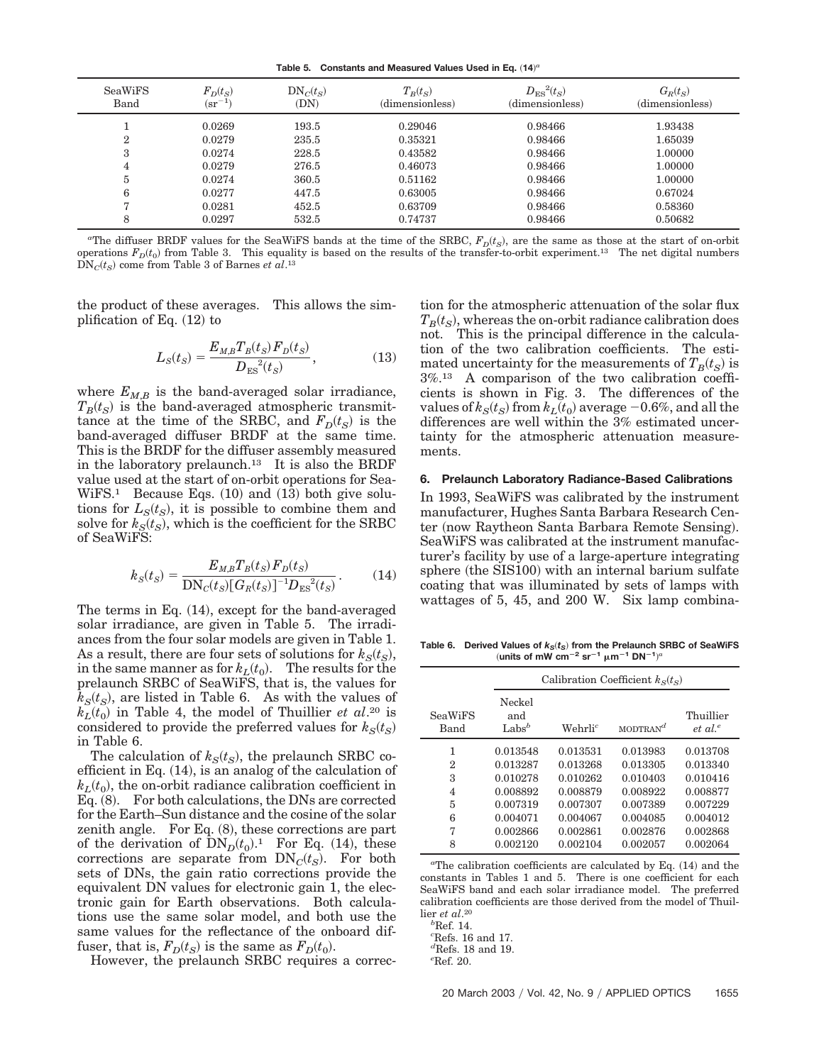Table 5. Constants and Measured Values Used in Eq.  $(14)^a$ 

| <b>SeaWiFS</b><br>Band | $F_D(t_S)$<br>$(\rm sr^{-1}$ | $DN_C(t_S)$<br>(DN) | $T_B(t_S)$<br>(dimensionless) | $D_{\text{ES}}^{2}(t_S)$<br>(dimensionless) | $G_R(t_S)$<br>(dimensionless) |
|------------------------|------------------------------|---------------------|-------------------------------|---------------------------------------------|-------------------------------|
|                        | 0.0269                       | 193.5               | 0.29046                       | 0.98466                                     | 1.93438                       |
| ົ                      | 0.0279                       | 235.5               | 0.35321                       | 0.98466                                     | 1.65039                       |
| 3                      | 0.0274                       | 228.5               | 0.43582                       | 0.98466                                     | 1.00000                       |
| 4                      | 0.0279                       | 276.5               | 0.46073                       | 0.98466                                     | 1.00000                       |
| h,                     | 0.0274                       | 360.5               | 0.51162                       | 0.98466                                     | 1.00000                       |
| 6                      | 0.0277                       | 447.5               | 0.63005                       | 0.98466                                     | 0.67024                       |
|                        | 0.0281                       | 452.5               | 0.63709                       | 0.98466                                     | 0.58360                       |
| 8                      | 0.0297                       | 532.5               | 0.74737                       | 0.98466                                     | 0.50682                       |

<sup>a</sup>The diffuser BRDF values for the SeaWiFS bands at the time of the SRBC,  $F_D(t_S)$ , are the same as those at the start of on-orbit operations  $F_D(t_0)$  from Table 3. This equality is based on the results of the transfer-to-orbit experiment.<sup>13</sup> The net digital numbers  $\text{DN}_C(t_S)$  come from Table 3 of Barnes *et al*.<sup>13</sup>

the product of these averages. This allows the simplification of Eq.  $(12)$  to

$$
L_S(t_S) = \frac{E_{M,B} T_B(t_S) F_D(t_S)}{D_{ES}^{2}(t_S)},
$$
\n(13)

where  $E_{M,B}$  is the band-averaged solar irradiance,  $T_B(t_S)$  is the band-averaged atmospheric transmittance at the time of the SRBC, and  $F_D(t_S)$  is the band-averaged diffuser BRDF at the same time. This is the BRDF for the diffuser assembly measured in the laboratory prelaunch.13 It is also the BRDF value used at the start of on-orbit operations for Sea- $WiFS<sup>1</sup>$  Because Eqs. (10) and (13) both give solutions for  $L_S(t_S)$ , it is possible to combine them and solve for  $k_S(t_S)$ , which is the coefficient for the SRBC of SeaWiFS:

$$
k_S(t_S) = \frac{E_{M,B} T_B(t_S) F_D(t_S)}{\text{DN}_c(t_S) [G_R(t_S)]^{-1} D_{\text{ES}}^{-2}(t_S)}.
$$
 (14)

The terms in Eq. (14), except for the band-averaged solar irradiance, are given in Table 5. The irradiances from the four solar models are given in Table 1. As a result, there are four sets of solutions for  $k_S(t_S)$ , in the same manner as for  $k_L(t_0)$ . The results for the prelaunch SRBC of SeaWiFS, that is, the values for  $k_S(t_S)$ , are listed in Table 6. As with the values of  $k_L(t_0)$  in Table 4, the model of Thuillier *et al.*<sup>20</sup> is considered to provide the preferred values for  $k_S(t_S)$ in Table 6.

The calculation of  $k_S(t_S)$ , the prelaunch SRBC coefficient in Eq.  $(14)$ , is an analog of the calculation of  $k_L(t_0)$ , the on-orbit radiance calibration coefficient in Eq. (8). For both calculations, the DNs are corrected for the Earth–Sun distance and the cosine of the solar zenith angle. For Eq.  $(8)$ , these corrections are part of the derivation of  $DN<sub>D</sub>(t<sub>0</sub>)$ .<sup>1</sup> For Eq. (14), these corrections are separate from  $DN_C(t_S)$ . For both sets of DNs, the gain ratio corrections provide the equivalent DN values for electronic gain 1, the electronic gain for Earth observations. Both calculations use the same solar model, and both use the same values for the reflectance of the onboard diffuser, that is,  $F_D(t_S)$  is the same as  $F_D(t_0)$ .

However, the prelaunch SRBC requires a correc-

tion for the atmospheric attenuation of the solar flux  $T_B(t_S)$ , whereas the on-orbit radiance calibration does not. This is the principal difference in the calculation of the two calibration coefficients. The estimated uncertainty for the measurements of  $T_B(t_S)$  is 3%.13 A comparison of the two calibration coefficients is shown in Fig. 3. The differences of the values of  $k_S(t_S)$  from  $k_L(t_0)$  average  $-0.6\%$ , and all the differences are well within the 3% estimated uncertainty for the atmospheric attenuation measurements.

#### **6. Prelaunch Laboratory Radiance-Based Calibrations**

In 1993, SeaWiFS was calibrated by the instrument manufacturer, Hughes Santa Barbara Research Center (now Raytheon Santa Barbara Remote Sensing). SeaWiFS was calibrated at the instrument manufacturer's facility by use of a large-aperture integrating sphere (the SIS100) with an internal barium sulfate coating that was illuminated by sets of lamps with wattages of 5, 45, and 200 W. Six lamp combina-

Table 6. Derived Values of  $k_S(t_S)$  from the Prelaunch SRBC of SeaWiFS  $(\text{units of mW cm}^{-2} \text{ sr}^{-1} \text{ }\mu\text{m}^{-1} \text{ }\text{DN}^{-1})^a$ 

|                        |                                  | Calibration Coefficient $k_s(t_s)$ |             |                                  |  |
|------------------------|----------------------------------|------------------------------------|-------------|----------------------------------|--|
| <b>SeaWiFS</b><br>Band | Neckel<br>and<br>$\text{Labs}^b$ | $Wehrli^c$                         | $MODTRAN^d$ | Thuillier<br>et al. <sup>e</sup> |  |
| 1                      | 0.013548                         | 0.013531                           | 0.013983    | 0.013708                         |  |
| 2                      | 0.013287                         | 0.013268                           | 0.013305    | 0.013340                         |  |
| 3                      | 0.010278                         | 0.010262                           | 0.010403    | 0.010416                         |  |
| 4                      | 0.008892                         | 0.008879                           | 0.008922    | 0.008877                         |  |
| 5                      | 0.007319                         | 0.007307                           | 0.007389    | 0.007229                         |  |
| 6                      | 0.004071                         | 0.004067                           | 0.004085    | 0.004012                         |  |
| 7                      | 0.002866                         | 0.002861                           | 0.002876    | 0.002868                         |  |
| 8                      | 0.002120                         | 0.002104                           | 0.002057    | 0.002064                         |  |

 $a$ <sup>The</sup> calibration coefficients are calculated by Eq.  $(14)$  and the constants in Tables 1 and 5. There is one coefficient for each SeaWiFS band and each solar irradiance model. The preferred calibration coefficients are those derived from the model of Thuillier *et al*.20

*e* Ref. 20.

*b* Ref. 14.

*c* Refs. 16 and 17.

*d* Refs. 18 and 19.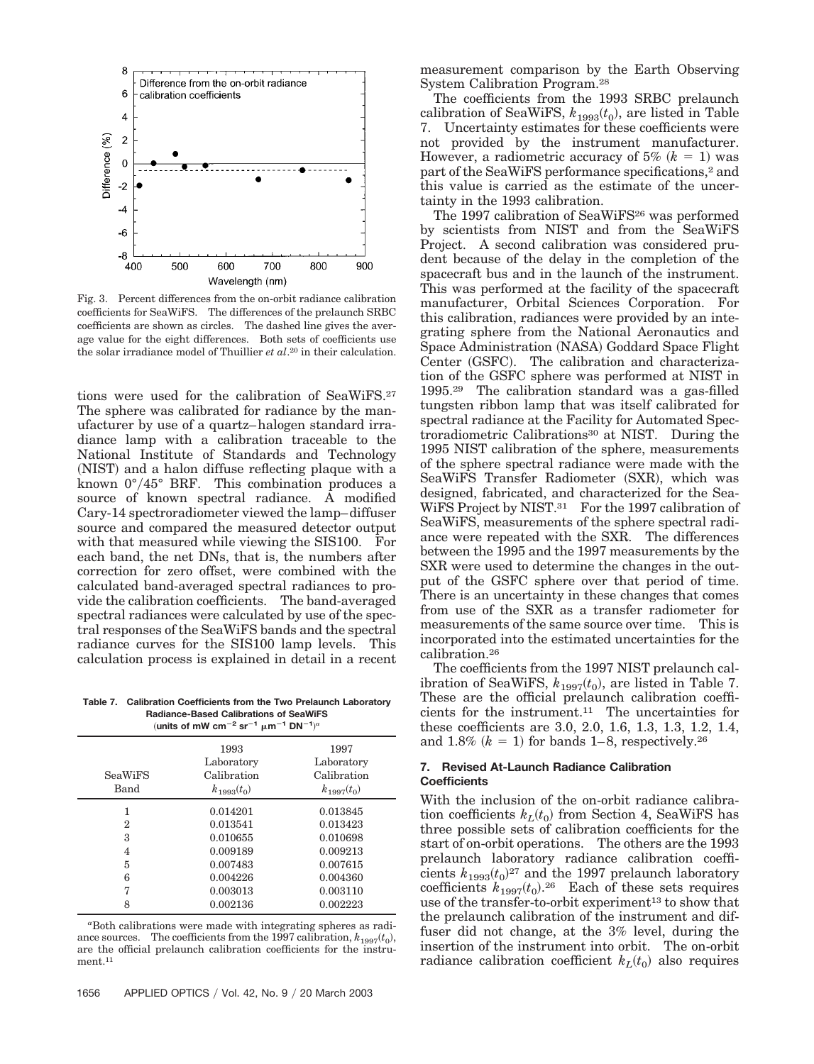

Fig. 3. Percent differences from the on-orbit radiance calibration coefficients for SeaWiFS. The differences of the prelaunch SRBC coefficients are shown as circles. The dashed line gives the average value for the eight differences. Both sets of coefficients use the solar irradiance model of Thuillier *et al*.20 in their calculation.

tions were used for the calibration of SeaWiFS.27 The sphere was calibrated for radiance by the manufacturer by use of a quartz–halogen standard irradiance lamp with a calibration traceable to the National Institute of Standards and Technology (NIST) and a halon diffuse reflecting plaque with a known  $0^{\circ}/45^{\circ}$  BRF. This combination produces a source of known spectral radiance. A modified Cary-14 spectroradiometer viewed the lamp–diffuser source and compared the measured detector output with that measured while viewing the SIS100. For each band, the net DNs, that is, the numbers after correction for zero offset, were combined with the calculated band-averaged spectral radiances to provide the calibration coefficients. The band-averaged spectral radiances were calculated by use of the spectral responses of the SeaWiFS bands and the spectral radiance curves for the SIS100 lamp levels. This calculation process is explained in detail in a recent

**Table 7. Calibration Coefficients from the Two Prelaunch Laboratory Radiance-Based Calibrations of SeaWiFS**  $(\text{units of mW cm}^{-2} \text{ sr}^{-1} \text{ }\mu\text{m}^{-1} \text{ }\text{DN}^{-1})^a$ 

| <b>SeaWiFS</b><br>Band | 1993<br>Laboratory<br>Calibration<br>$k_{1993}(t_0)$ | 1997<br>Laboratory<br>Calibration<br>$k_{1997}(t_0)$ |
|------------------------|------------------------------------------------------|------------------------------------------------------|
|                        | 0.014201                                             | 0.013845                                             |
| 2                      | 0.013541                                             | 0.013423                                             |
| 3                      | 0.010655                                             | 0.010698                                             |
| 4                      | 0.009189                                             | 0.009213                                             |
| 5                      | 0.007483                                             | 0.007615                                             |
| 6                      | 0.004226                                             | 0.004360                                             |
| 7                      | 0.003013                                             | 0.003110                                             |
| 8                      | 0.002136                                             | 0.002223                                             |

*a* Both calibrations were made with integrating spheres as radiance sources. The coefficients from the 1997 calibration,  $k_{1997}(t_0)$ , are the official prelaunch calibration coefficients for the instrument.<sup>11</sup>

The coefficients from the 1993 SRBC prelaunch  $\text{calibration of SeaWiFS}, \, k_{1993}(t_0), \, \text{are listed in Table}$ 7. Uncertainty estimates for these coefficients were not provided by the instrument manufacturer. However, a radiometric accuracy of  $5\%$   $(k = 1)$  was part of the SeaWiFS performance specifications,<sup>2</sup> and this value is carried as the estimate of the uncertainty in the 1993 calibration.

The 1997 calibration of SeaWiFS<sup>26</sup> was performed by scientists from NIST and from the SeaWiFS Project. A second calibration was considered prudent because of the delay in the completion of the spacecraft bus and in the launch of the instrument. This was performed at the facility of the spacecraft manufacturer, Orbital Sciences Corporation. For this calibration, radiances were provided by an integrating sphere from the National Aeronautics and Space Administration (NASA) Goddard Space Flight Center (GSFC). The calibration and characterization of the GSFC sphere was performed at NIST in 1995.29 The calibration standard was a gas-filled tungsten ribbon lamp that was itself calibrated for spectral radiance at the Facility for Automated Spectroradiometric Calibrations<sup>30</sup> at NIST. During the 1995 NIST calibration of the sphere, measurements of the sphere spectral radiance were made with the SeaWiFS Transfer Radiometer (SXR), which was designed, fabricated, and characterized for the Sea-WiFS Project by NIST.<sup>31</sup> For the 1997 calibration of SeaWiFS, measurements of the sphere spectral radiance were repeated with the SXR. The differences between the 1995 and the 1997 measurements by the SXR were used to determine the changes in the output of the GSFC sphere over that period of time. There is an uncertainty in these changes that comes from use of the SXR as a transfer radiometer for measurements of the same source over time. This is incorporated into the estimated uncertainties for the calibration.26

The coefficients from the 1997 NIST prelaunch calibration of SeaWiFS,  $k_{1997}(t_0)$ , are listed in Table 7. These are the official prelaunch calibration coefficients for the instrument.11 The uncertainties for these coefficients are 3.0, 2.0, 1.6, 1.3, 1.3, 1.2, 1.4, and  $1.8\%$   $(k = 1)$  for bands 1–8, respectively.<sup>26</sup>

## **7. Revised At-Launch Radiance Calibration Coefficients**

With the inclusion of the on-orbit radiance calibra- $\frac{1}{k}$  tion coefficients  $k_L(t_0)$  from Section 4, SeaWiFS has three possible sets of calibration coefficients for the start of on-orbit operations. The others are the 1993 prelaunch laboratory radiance calibration coefficients  $k_{1993}(t_0)^{27}$  and the 1997 prelaunch laboratory coefficients  $k_{1997}(t_0)$ <sup>26</sup> Each of these sets requires use of the transfer-to-orbit experiment<sup>13</sup> to show that the prelaunch calibration of the instrument and diffuser did not change, at the 3% level, during the insertion of the instrument into orbit. The on-orbit  $r$ adiance calibration coefficient  $k_L(t_0)$  also requires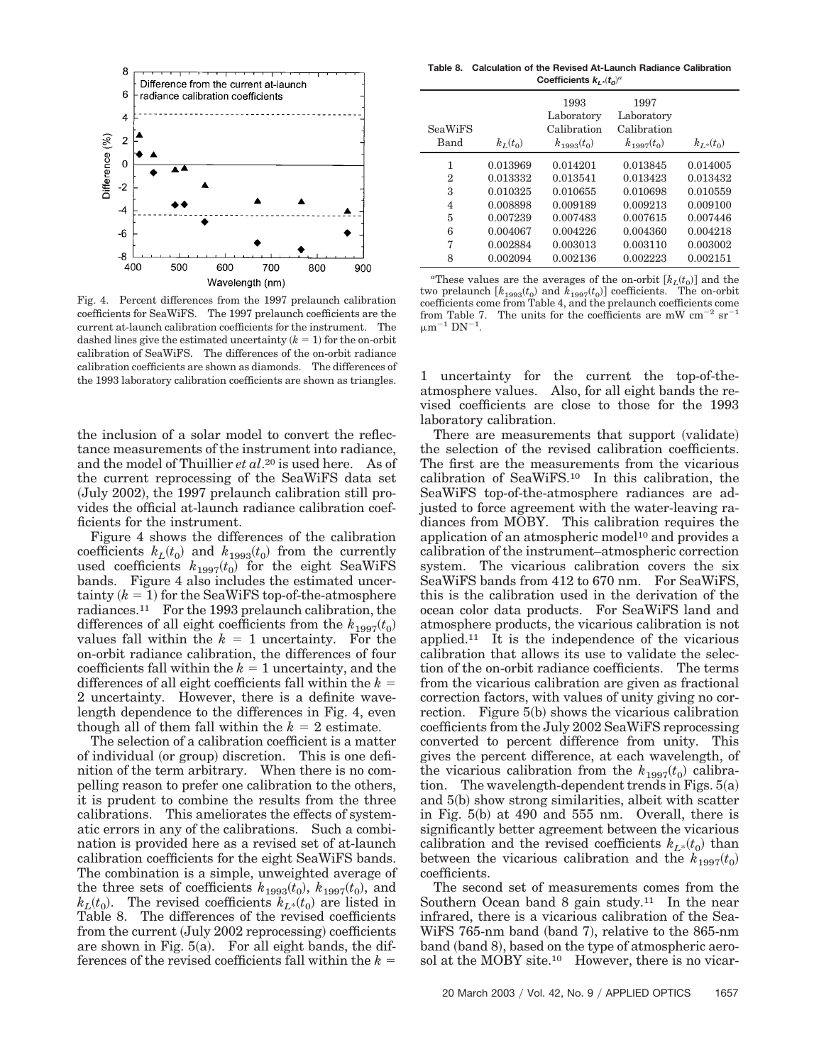

Fig. 4. Percent differences from the 1997 prelaunch calibration coefficients for SeaWiFS. The 1997 prelaunch coefficients are the current at-launch calibration coefficients for the instrument. The dashed lines give the estimated uncertainty  $(k = 1)$  for the on-orbit calibration of SeaWiFS. The differences of the on-orbit radiance calibration coefficients are shown as diamonds. The differences of the 1993 laboratory calibration coefficients are shown as triangles.

the inclusion of a solar model to convert the reflectance measurements of the instrument into radiance, and the model of Thuillier *et al*.20 is used here. As of the current reprocessing of the SeaWiFS data set (July 2002), the 1997 prelaunch calibration still provides the official at-launch radiance calibration coefficients for the instrument.

Figure 4 shows the differences of the calibration coefficients  $k_L(t_0)$  and  $k_{1993}(t_0)$  from the currently used coefficients  $k_{1997}(t_0)$  for the eight SeaWiFS bands. Figure 4 also includes the estimated uncer- $\text{tainty}$   $(k = 1)$  for the SeaWiFS top-of-the-atmosphere radiances.11 For the 1993 prelaunch calibration, the differences of all eight coefficients from the  $k_{1997}(t_0)$ values fall within the  $k = 1$  uncertainty. For the on-orbit radiance calibration, the differences of four coefficients fall within the  $k = 1$  uncertainty, and the differences of all eight coefficients fall within the *k* 2 uncertainty. However, there is a definite wavelength dependence to the differences in Fig. 4, even though all of them fall within the  $k = 2$  estimate.

The selection of a calibration coefficient is a matter of individual (or group) discretion. This is one definition of the term arbitrary. When there is no compelling reason to prefer one calibration to the others, it is prudent to combine the results from the three calibrations. This ameliorates the effects of systematic errors in any of the calibrations. Such a combination is provided here as a revised set of at-launch calibration coefficients for the eight SeaWiFS bands. The combination is a simple, unweighted average of the three sets of coefficients  $k_{1993}(t_0)$ ,  $k_{1997}(t_0)$ , and  $k_L(t_0)$ . The revised coefficients  $k_{L^*}(t_0)$  are listed in Table 8. The differences of the revised coefficients from the current (July 2002 reprocessing) coefficients are shown in Fig.  $5(a)$ . For all eight bands, the differences of the revised coefficients fall within the *k*

**Table 8. Calculation of the Revised At-Launch Radiance Calibration Coefficients** *kL\*t0*-*a*

| <b>SeaWiFS</b><br>Band | $k_L(t_0)$ | 1993<br>Laboratory<br>Calibration<br>$k_{1993}(t_0)$ | 1997<br>Laboratory<br>Calibration<br>$k_{1997}(t_0)$ | $k_{L*}(t_0)$ |
|------------------------|------------|------------------------------------------------------|------------------------------------------------------|---------------|
| 1                      | 0.013969   | 0.014201                                             | 0.013845                                             | 0.014005      |
| 2                      | 0.013332   | 0.013541                                             | 0.013423                                             | 0.013432      |
| 3                      | 0.010325   | 0.010655                                             | 0.010698                                             | 0.010559      |
| $\overline{4}$         | 0.008898   | 0.009189                                             | 0.009213                                             | 0.009100      |
| 5                      | 0.007239   | 0.007483                                             | 0.007615                                             | 0.007446      |
| 6                      | 0.004067   | 0.004226                                             | 0.004360                                             | 0.004218      |
| 7                      | 0.002884   | 0.003013                                             | 0.003110                                             | 0.003002      |
| 8                      | 0.002094   | 0.002136                                             | 0.002223                                             | 0.002151      |

<sup>*a*</sup>These values are the averages of the on-orbit  $[k_L(t_0)]$  and the two prelaunch  $[k_{1993}(t_0)]$  and  $k_{1997}(t_0)]$  coefficients. The on-orbit coefficients come from Table 4, and the prelaunch coefficients come from Table 7. The units for the coefficients are mW  $cm^{-2}$   $sr^{-1}$  $\mu$ m<sup>-1</sup> DN<sup>-1</sup>.

1 uncertainty for the current the top-of-theatmosphere values. Also, for all eight bands the revised coefficients are close to those for the 1993 laboratory calibration.

There are measurements that support (validate) the selection of the revised calibration coefficients. The first are the measurements from the vicarious calibration of SeaWiFS.10 In this calibration, the SeaWiFS top-of-the-atmosphere radiances are adjusted to force agreement with the water-leaving radiances from MOBY. This calibration requires the application of an atmospheric model<sup>10</sup> and provides a calibration of the instrument–atmospheric correction system. The vicarious calibration covers the six SeaWiFS bands from 412 to 670 nm. For SeaWiFS, this is the calibration used in the derivation of the ocean color data products. For SeaWiFS land and atmosphere products, the vicarious calibration is not applied.<sup>11</sup> It is the independence of the vicarious calibration that allows its use to validate the selection of the on-orbit radiance coefficients. The terms from the vicarious calibration are given as fractional correction factors, with values of unity giving no correction. Figure 5(b) shows the vicarious calibration coefficients from the July 2002 SeaWiFS reprocessing converted to percent difference from unity. This gives the percent difference, at each wavelength, of the vicarious calibration from the  $k_{1997}(t_0)$  calibration. The wavelength-dependent trends in Figs.  $5(a)$ and 5(b) show strong similarities, albeit with scatter in Fig.  $5(b)$  at 490 and  $555$  nm. Overall, there is significantly better agreement between the vicarious calibration and the revised coefficients  $k_{L^*}(t_0)$  than between the vicarious calibration and the  $k_{1997}(t_0)$ coefficients.

The second set of measurements comes from the Southern Ocean band 8 gain study.<sup>11</sup> In the near infrared, there is a vicarious calibration of the Sea-WiFS 765-nm band (band 7), relative to the 865-nm band (band 8), based on the type of atmospheric aerosol at the MOBY site.<sup>10</sup> However, there is no vicar-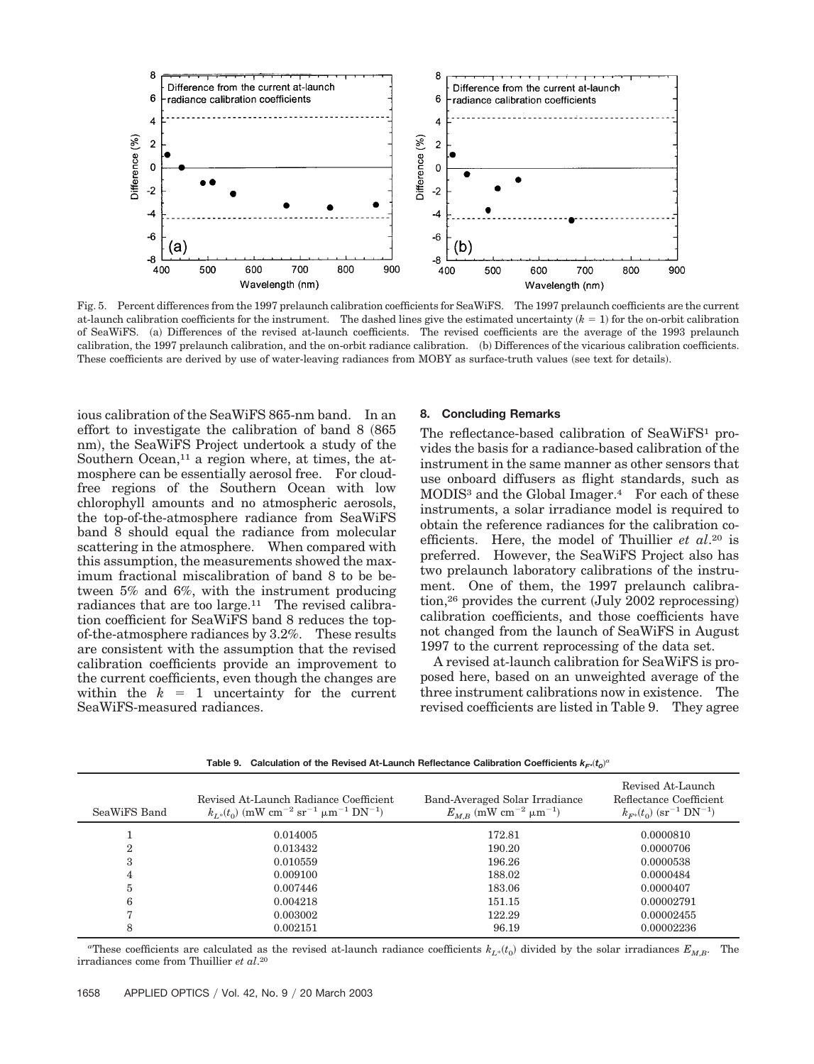

Fig. 5. Percent differences from the 1997 prelaunch calibration coefficients for SeaWiFS. The 1997 prelaunch coefficients are the current at-launch calibration coefficients for the instrument. The dashed lines give the estimated uncertainty  $(k = 1)$  for the on-orbit calibration of SeaWiFS. (a) Differences of the revised at-launch coefficients. The revised coefficients are the average of the 1993 prelaunch calibration, the 1997 prelaunch calibration, and the on-orbit radiance calibration. (b) Differences of the vicarious calibration coefficients. These coefficients are derived by use of water-leaving radiances from MOBY as surface-truth values (see text for details).

ious calibration of the SeaWiFS 865-nm band. In an effort to investigate the calibration of band  $8 \ (865)$ nm), the SeaWiFS Project undertook a study of the Southern Ocean, $11$  a region where, at times, the atmosphere can be essentially aerosol free. For cloudfree regions of the Southern Ocean with low chlorophyll amounts and no atmospheric aerosols, the top-of-the-atmosphere radiance from SeaWiFS band 8 should equal the radiance from molecular scattering in the atmosphere. When compared with this assumption, the measurements showed the maximum fractional miscalibration of band 8 to be between 5% and 6%, with the instrument producing radiances that are too large.11 The revised calibration coefficient for SeaWiFS band 8 reduces the topof-the-atmosphere radiances by 3.2%. These results are consistent with the assumption that the revised calibration coefficients provide an improvement to the current coefficients, even though the changes are within the  $k = 1$  uncertainty for the current SeaWiFS-measured radiances.

#### **8. Concluding Remarks**

The reflectance-based calibration of SeaWiFS<sup>1</sup> provides the basis for a radiance-based calibration of the instrument in the same manner as other sensors that use onboard diffusers as flight standards, such as MODIS3 and the Global Imager.4 For each of these instruments, a solar irradiance model is required to obtain the reference radiances for the calibration coefficients. Here, the model of Thuillier *et al*.20 is preferred. However, the SeaWiFS Project also has two prelaunch laboratory calibrations of the instrument. One of them, the 1997 prelaunch calibration,<sup>26</sup> provides the current (July 2002 reprocessing) calibration coefficients, and those coefficients have not changed from the launch of SeaWiFS in August 1997 to the current reprocessing of the data set.

A revised at-launch calibration for SeaWiFS is proposed here, based on an unweighted average of the three instrument calibrations now in existence. The revised coefficients are listed in Table 9. They agree

| SeaWiFS Band | Revised At-Launch Radiance Coefficient<br>$k_{L*}(t_0)$ (mW cm <sup>-2</sup> sr <sup>-1</sup> µm <sup>-1</sup> DN <sup>-1</sup> ) | Band-Averaged Solar Irradiance<br>$E_{M,B}$ (mW cm <sup>-2</sup> $\mu$ m <sup>-1</sup> ) | Revised At-Launch<br>Reflectance Coefficient<br>$k_{F^*}(t_0)$ (sr <sup>-1</sup> DN <sup>-1</sup> ) |
|--------------|-----------------------------------------------------------------------------------------------------------------------------------|------------------------------------------------------------------------------------------|-----------------------------------------------------------------------------------------------------|
|              | 0.014005                                                                                                                          | 172.81                                                                                   | 0.0000810                                                                                           |
| $\mathbf{2}$ | 0.013432                                                                                                                          | 190.20                                                                                   | 0.0000706                                                                                           |
| 3            | 0.010559                                                                                                                          | 196.26                                                                                   | 0.0000538                                                                                           |
| 4            | 0.009100                                                                                                                          | 188.02                                                                                   | 0.0000484                                                                                           |
| 5            | 0.007446                                                                                                                          | 183.06                                                                                   | 0.0000407                                                                                           |
| 6            | 0.004218                                                                                                                          | 151.15                                                                                   | 0.00002791                                                                                          |
|              | 0.003002                                                                                                                          | 122.29                                                                                   | 0.00002455                                                                                          |
|              | 0.002151                                                                                                                          | 96.19                                                                                    | 0.00002236                                                                                          |

Table 9. Calculation of the Revised At-Launch Reflectance Calibration Coefficients  $k_{F^*}(t_0)^a$ 

<sup>a</sup>These coefficients are calculated as the revised at-launch radiance coefficients  $k_{L^*}(t_0)$  divided by the solar irradiances  $E_{M,B}$ . The irradiances come from Thuillier *et al*.20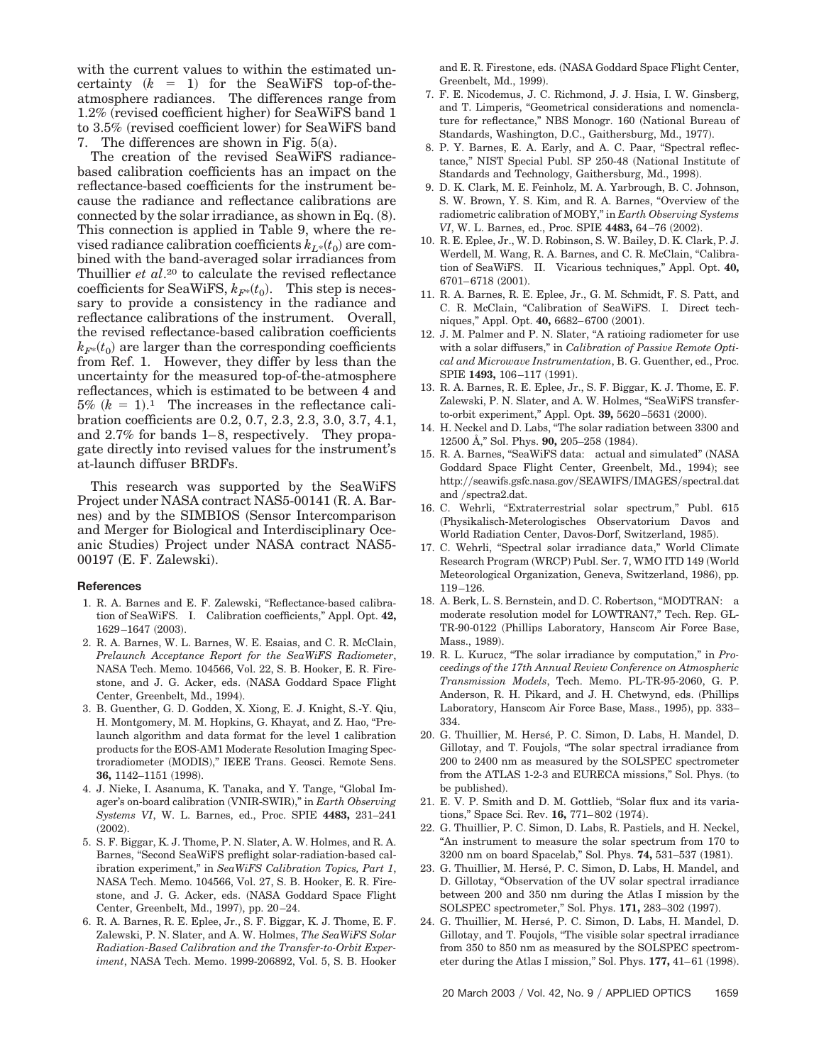with the current values to within the estimated uncertainty  $(k = 1)$  for the SeaWiFS top-of-theatmosphere radiances. The differences range from  $1.2\%$  (revised coefficient higher) for SeaWiFS band 1 to 3.5% (revised coefficient lower) for SeaWiFS band 7. The differences are shown in Fig.  $5(a)$ .

The creation of the revised SeaWiFS radiancebased calibration coefficients has an impact on the reflectance-based coefficients for the instrument because the radiance and reflectance calibrations are connected by the solar irradiance, as shown in Eq.  $(8)$ . This connection is applied in Table 9, where the re- $\emph{vised radiance calibration coefficients } k_{L^*}(t_0)$  are combined with the band-averaged solar irradiances from Thuillier *et al*.20 to calculate the revised reflectance  $\text{coefficients for SeaWiFS}, k_{F^*}(t_0)$ . This step is necessary to provide a consistency in the radiance and reflectance calibrations of the instrument. Overall, the revised reflectance-based calibration coefficients  $k_{F^*}(t_0)$  are larger than the corresponding coefficients from Ref. 1. However, they differ by less than the uncertainty for the measured top-of-the-atmosphere reflectances, which is estimated to be between 4 and  $5\%$   $(k = 1).$ <sup>1</sup> The increases in the reflectance calibration coefficients are 0.2, 0.7, 2.3, 2.3, 3.0, 3.7, 4.1, and 2.7% for bands 1–8, respectively. They propagate directly into revised values for the instrument's at-launch diffuser BRDFs.

This research was supported by the SeaWiFS Project under NASA contract NAS5-00141 (R. A. Barnes) and by the SIMBIOS (Sensor Intercomparison and Merger for Biological and Interdisciplinary Oceanic Studies) Project under NASA contract NAS5-00197 (E. F. Zalewski).

#### **References**

- 1. R. A. Barnes and E. F. Zalewski, "Reflectance-based calibration of SeaWiFS. I. Calibration coefficients," Appl. Opt. **42,** 1629-1647 (2003).
- 2. R. A. Barnes, W. L. Barnes, W. E. Esaias, and C. R. McClain, *Prelaunch Acceptance Report for the SeaWiFS Radiometer*, NASA Tech. Memo. 104566, Vol. 22, S. B. Hooker, E. R. Firestone, and J. G. Acker, eds. NASA Goddard Space Flight Center, Greenbelt, Md., 1994).
- 3. B. Guenther, G. D. Godden, X. Xiong, E. J. Knight, S.-Y. Qiu, H. Montgomery, M. M. Hopkins, G. Khayat, and Z. Hao, "Prelaunch algorithm and data format for the level 1 calibration products for the EOS-AM1 Moderate Resolution Imaging Spectroradiometer (MODIS)," IEEE Trans. Geosci. Remote Sens. **36,** 1142–1151 (1998).
- 4. J. Nieke, I. Asanuma, K. Tanaka, and Y. Tange, "Global Imager's on-board calibration VNIR-SWIR-," in *Earth Observing Systems VI*, W. L. Barnes, ed., Proc. SPIE **4483,** 231–241  $(2002).$
- 5. S. F. Biggar, K. J. Thome, P. N. Slater, A. W. Holmes, and R. A. Barnes, "Second SeaWiFS preflight solar-radiation-based calibration experiment," in *SeaWiFS Calibration Topics, Part 1*, NASA Tech. Memo. 104566, Vol. 27, S. B. Hooker, E. R. Firestone, and J. G. Acker, eds. NASA Goddard Space Flight Center, Greenbelt, Md., 1997), pp. 20-24.
- 6. R. A. Barnes, R. E. Eplee, Jr., S. F. Biggar, K. J. Thome, E. F. Zalewski, P. N. Slater, and A. W. Holmes, *The SeaWiFS Solar Radiation-Based Calibration and the Transfer-to-Orbit Experiment*, NASA Tech. Memo. 1999-206892, Vol. 5, S. B. Hooker

and E. R. Firestone, eds. NASA Goddard Space Flight Center, Greenbelt, Md., 1999).

- 7. F. E. Nicodemus, J. C. Richmond, J. J. Hsia, I. W. Ginsberg, and T. Limperis, "Geometrical considerations and nomenclature for reflectance," NBS Monogr. 160 (National Bureau of Standards, Washington, D.C., Gaithersburg, Md., 1977).
- 8. P. Y. Barnes, E. A. Early, and A. C. Paar, "Spectral reflectance," NIST Special Publ. SP 250-48 (National Institute of Standards and Technology, Gaithersburg, Md., 1998).
- 9. D. K. Clark, M. E. Feinholz, M. A. Yarbrough, B. C. Johnson, S. W. Brown, Y. S. Kim, and R. A. Barnes, "Overview of the radiometric calibration of MOBY," in *Earth Observing Systems VI*, W. L. Barnes, ed., Proc. SPIE **4483,** 64–76 (2002).
- 10. R. E. Eplee, Jr., W. D. Robinson, S. W. Bailey, D. K. Clark, P. J. Werdell, M. Wang, R. A. Barnes, and C. R. McClain, "Calibration of SeaWiFS. II. Vicarious techniques," Appl. Opt. **40,** 6701-6718 (2001).
- 11. R. A. Barnes, R. E. Eplee, Jr., G. M. Schmidt, F. S. Patt, and C. R. McClain, "Calibration of SeaWiFS. I. Direct techniques," Appl. Opt. 40, 6682-6700 (2001).
- 12. J. M. Palmer and P. N. Slater, "A ratioing radiometer for use with a solar diffusers," in *Calibration of Passive Remote Optical and Microwave Instrumentation*, B. G. Guenther, ed., Proc. SPIE **1493,** 106–117 (1991).
- 13. R. A. Barnes, R. E. Eplee, Jr., S. F. Biggar, K. J. Thome, E. F. Zalewski, P. N. Slater, and A. W. Holmes, "SeaWiFS transferto-orbit experiment," Appl. Opt. **39,** 5620–5631 (2000).
- 14. H. Neckel and D. Labs, "The solar radiation between 3300 and 12500 A," Sol. Phys. **90,** 205–258 (1984).
- 15. R. A. Barnes, "SeaWiFS data: actual and simulated" NASA Goddard Space Flight Center, Greenbelt, Md., 1994); see http://seawifs.gsfc.nasa.gov/SEAWIFS/IMAGES/spectral.dat and /spectra2.dat.
- 16. C. Wehrli, "Extraterrestrial solar spectrum," Publ. 615 Physikalisch-Meterologisches Observatorium Davos and World Radiation Center, Davos-Dorf, Switzerland, 1985).
- 17. C. Wehrli, "Spectral solar irradiance data," World Climate Research Program (WRCP) Publ. Ser. 7, WMO ITD 149 (World Meteorological Organization, Geneva, Switzerland, 1986), pp. 119–126.
- 18. A. Berk, L. S. Bernstein, and D. C. Robertson, "MODTRAN: a moderate resolution model for LOWTRAN7," Tech. Rep. GL-TR-90-0122 Phillips Laboratory, Hanscom Air Force Base, Mass., 1989).
- 19. R. L. Kurucz, "The solar irradiance by computation," in *Proceedings of the 17th Annual Review Conference on Atmospheric Transmission Models*, Tech. Memo. PL-TR-95-2060, G. P. Anderson, R. H. Pikard, and J. H. Chetwynd, eds. (Phillips Laboratory, Hanscom Air Force Base, Mass., 1995), pp. 333– 334.
- 20. G. Thuillier, M. Hersé, P. C. Simon, D. Labs, H. Mandel, D. Gillotay, and T. Foujols, "The solar spectral irradiance from 200 to 2400 nm as measured by the SOLSPEC spectrometer from the ATLAS 1-2-3 and EURECA missions," Sol. Phys. (to be published).
- 21. E. V. P. Smith and D. M. Gottlieb, "Solar flux and its variations," Space Sci. Rev. **16,** 771–802 (1974).
- 22. G. Thuillier, P. C. Simon, D. Labs, R. Pastiels, and H. Neckel, "An instrument to measure the solar spectrum from 170 to 3200 nm on board Spacelab," Sol. Phys. **74,** 531–537 (1981).
- 23. G. Thuillier, M. Hersé, P. C. Simon, D. Labs, H. Mandel, and D. Gillotay, "Observation of the UV solar spectral irradiance between 200 and 350 nm during the Atlas I mission by the SOLSPEC spectrometer," Sol. Phys. 171, 283-302 (1997).
- 24. G. Thuillier, M. Hersé, P. C. Simon, D. Labs, H. Mandel, D. Gillotay, and T. Foujols, "The visible solar spectral irradiance from 350 to 850 nm as measured by the SOLSPEC spectrometer during the Atlas I mission," Sol. Phys. 177, 41-61 (1998).